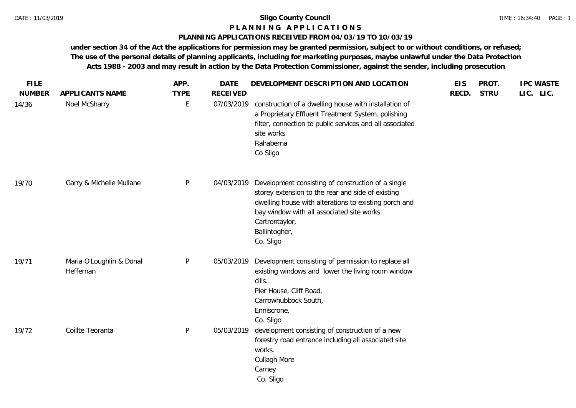### **P L A N N I N G A P P L I C A T I O N S**

#### **PLANNING APPLICATIONS RECEIVED FROM 04/03/19 TO 10/03/19**

| <b>FILE</b><br><b>NUMBER</b> | APPLICANTS NAME                       | APP.<br><b>TYPE</b> | <b>DATE</b><br><b>RECEIVED</b> | DEVELOPMENT DESCRIPTION AND LOCATION                                                                                                                                                                                                                           | <b>EIS</b><br>RECD. | PROT.<br><b>STRU</b> | <b>IPC WASTE</b><br>LIC. LIC. |
|------------------------------|---------------------------------------|---------------------|--------------------------------|----------------------------------------------------------------------------------------------------------------------------------------------------------------------------------------------------------------------------------------------------------------|---------------------|----------------------|-------------------------------|
| 14/36                        | Noel McSharry                         | $\mathsf E$         | 07/03/2019                     | construction of a dwelling house with installation of<br>a Proprietary Effluent Treatment System, polishing<br>filter, connection to public services and all associated<br>site works<br>Rahaberna<br>Co Sligo                                                 |                     |                      |                               |
| 19/70                        | Garry & Michelle Mullane              | P                   | 04/03/2019                     | Development consisting of construction of a single<br>storey extension to the rear and side of existing<br>dwelling house with alterations to existing porch and<br>bay window with all associated site works.<br>Cartrontaylor,<br>Ballintogher,<br>Co. Sligo |                     |                      |                               |
| 19/71                        | Maria O'Loughlin & Donal<br>Heffernan | $\mathsf{P}$        | 05/03/2019                     | Development consisting of permission to replace all<br>existing windows and lower the living room window<br>cills.<br>Pier House, Cliff Road,<br>Carrowhubbock South,<br>Enniscrone,<br>Co. Sligo                                                              |                     |                      |                               |
| 19/72                        | Coillte Teoranta                      | $\mathsf{P}$        | 05/03/2019                     | development consisting of construction of a new<br>forestry road entrance including all associated site<br>works.<br>Cullagh More<br>Carney<br>Co. Sligo                                                                                                       |                     |                      |                               |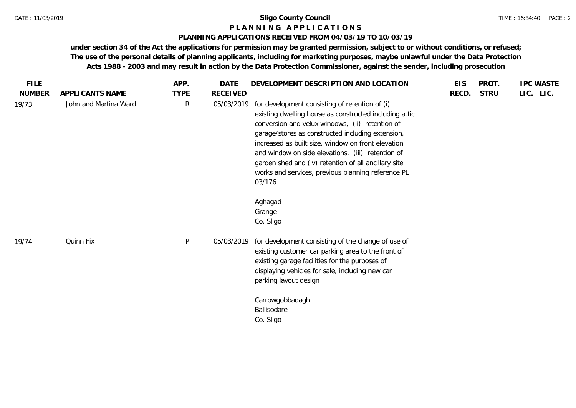#### **P L A N N I N G A P P L I C A T I O N S**

#### **PLANNING APPLICATIONS RECEIVED FROM 04/03/19 TO 10/03/19**

| <b>FILE</b>   |                       | APP.         | <b>DATE</b>     | DEVELOPMENT DESCRIPTION AND LOCATION                                                                                                                                                                                                                                                                                                                                                                                                                                                  | <b>EIS</b> | PROT.       | <b>IPC WASTE</b> |
|---------------|-----------------------|--------------|-----------------|---------------------------------------------------------------------------------------------------------------------------------------------------------------------------------------------------------------------------------------------------------------------------------------------------------------------------------------------------------------------------------------------------------------------------------------------------------------------------------------|------------|-------------|------------------|
| <b>NUMBER</b> | APPLICANTS NAME       | <b>TYPE</b>  | <b>RECEIVED</b> |                                                                                                                                                                                                                                                                                                                                                                                                                                                                                       | RECD.      | <b>STRU</b> | LIC. LIC.        |
| 19/73         | John and Martina Ward | $\mathsf{R}$ | 05/03/2019      | for development consisting of retention of (i)<br>existing dwelling house as constructed including attic<br>conversion and velux windows, (ii) retention of<br>garage/stores as constructed including extension,<br>increased as built size, window on front elevation<br>and window on side elevations, (iii) retention of<br>garden shed and (iv) retention of all ancillary site<br>works and services, previous planning reference PL<br>03/176<br>Aghagad<br>Grange<br>Co. Sligo |            |             |                  |
| 19/74         | Quinn Fix             | $\mathsf{P}$ | 05/03/2019      | for development consisting of the change of use of<br>existing customer car parking area to the front of<br>existing garage facilities for the purposes of<br>displaying vehicles for sale, including new car<br>parking layout design<br>Carrowgobbadagh                                                                                                                                                                                                                             |            |             |                  |
|               |                       |              |                 | Ballisodare<br>Co. Sligo                                                                                                                                                                                                                                                                                                                                                                                                                                                              |            |             |                  |
|               |                       |              |                 |                                                                                                                                                                                                                                                                                                                                                                                                                                                                                       |            |             |                  |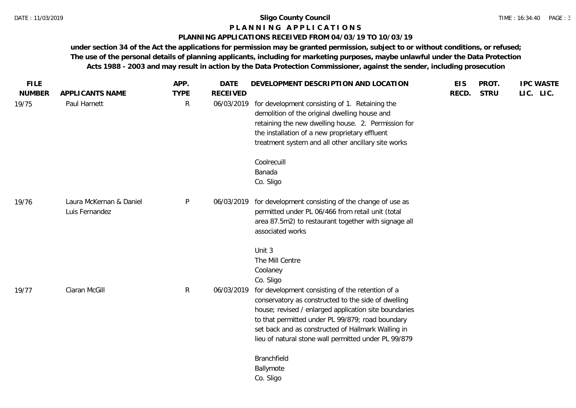#### **P L A N N I N G A P P L I C A T I O N S**

#### **PLANNING APPLICATIONS RECEIVED FROM 04/03/19 TO 10/03/19**

| <b>FILE</b>            |                                           | APP.             | <b>DATE</b>                   | DEVELOPMENT DESCRIPTION AND LOCATION                                                                                                                                                                                                                                                                                               | <b>EIS</b> | PROT.       | <b>IPC WASTE</b> |
|------------------------|-------------------------------------------|------------------|-------------------------------|------------------------------------------------------------------------------------------------------------------------------------------------------------------------------------------------------------------------------------------------------------------------------------------------------------------------------------|------------|-------------|------------------|
| <b>NUMBER</b><br>19/75 | APPLICANTS NAME<br>Paul Harnett           | <b>TYPE</b><br>R | <b>RECEIVED</b><br>06/03/2019 | for development consisting of 1. Retaining the<br>demolition of the original dwelling house and<br>retaining the new dwelling house. 2. Permission for<br>the installation of a new proprietary effluent<br>treatment system and all other ancillary site works                                                                    | RECD.      | <b>STRU</b> | LIC. LIC.        |
|                        |                                           |                  |                               | Coolrecuill<br>Banada<br>Co. Sligo                                                                                                                                                                                                                                                                                                 |            |             |                  |
| 19/76                  | Laura McKernan & Daniel<br>Luis Fernandez | P                |                               | 06/03/2019 for development consisting of the change of use as<br>permitted under PL 06/466 from retail unit (total<br>area 87.5m2) to restaurant together with signage all<br>associated works                                                                                                                                     |            |             |                  |
|                        |                                           |                  |                               | Unit 3<br>The Mill Centre<br>Coolaney<br>Co. Sligo                                                                                                                                                                                                                                                                                 |            |             |                  |
| 19/77                  | Ciaran McGill                             | R                | 06/03/2019                    | for development consisting of the retention of a<br>conservatory as constructed to the side of dwelling<br>house; revised / enlarged application site boundaries<br>to that permitted under PL 99/879; road boundary<br>set back and as constructed of Hallmark Walling in<br>lieu of natural stone wall permitted under PL 99/879 |            |             |                  |
|                        |                                           |                  |                               | Branchfield<br>Ballymote<br>Co. Sligo                                                                                                                                                                                                                                                                                              |            |             |                  |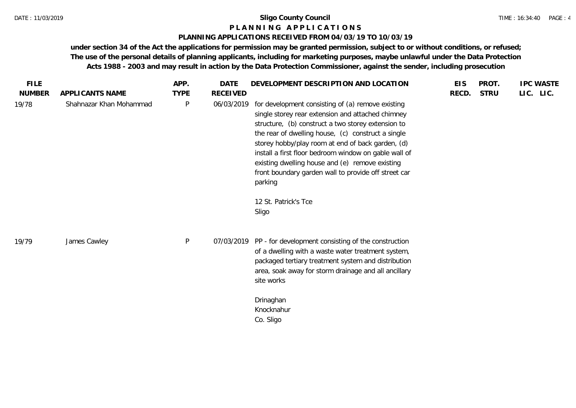#### **P L A N N I N G A P P L I C A T I O N S**

#### **PLANNING APPLICATIONS RECEIVED FROM 04/03/19 TO 10/03/19**

| <b>FILE</b>   |                         | APP.        | <b>DATE</b>     | DEVELOPMENT DESCRIPTION AND LOCATION                                                                                                                                                                                                                                                                                                                                                                                                                                                    | <b>EIS</b> | PROT.       | <b>IPC WASTE</b> |
|---------------|-------------------------|-------------|-----------------|-----------------------------------------------------------------------------------------------------------------------------------------------------------------------------------------------------------------------------------------------------------------------------------------------------------------------------------------------------------------------------------------------------------------------------------------------------------------------------------------|------------|-------------|------------------|
| <b>NUMBER</b> | APPLICANTS NAME         | <b>TYPE</b> | <b>RECEIVED</b> |                                                                                                                                                                                                                                                                                                                                                                                                                                                                                         | RECD.      | <b>STRU</b> | LIC. LIC.        |
| 19/78         | Shahnazar Khan Mohammad | ${\sf P}$   | 06/03/2019      | for development consisting of (a) remove existing<br>single storey rear extension and attached chimney<br>structure, (b) construct a two storey extension to<br>the rear of dwelling house, (c) construct a single<br>storey hobby/play room at end of back garden, (d)<br>install a first floor bedroom window on gable wall of<br>existing dwelling house and (e) remove existing<br>front boundary garden wall to provide off street car<br>parking<br>12 St. Patrick's Tce<br>Sligo |            |             |                  |
| 19/79         | James Cawley            | P           |                 | 07/03/2019 PP - for development consisting of the construction<br>of a dwelling with a waste water treatment system,<br>packaged tertiary treatment system and distribution<br>area, soak away for storm drainage and all ancillary<br>site works<br>Drinaghan<br>Knocknahur<br>Co. Sligo                                                                                                                                                                                               |            |             |                  |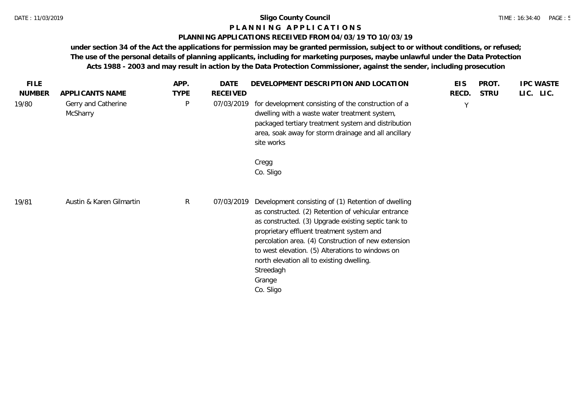#### **P L A N N I N G A P P L I C A T I O N S**

#### **PLANNING APPLICATIONS RECEIVED FROM 04/03/19 TO 10/03/19**

| <b>FILE</b>   |                                 | APP.         | <b>DATE</b>     | DEVELOPMENT DESCRIPTION AND LOCATION                                                                                                                                                                                                                                                                                                                                                                       | <b>EIS</b> | PROT.       | <b>IPC WASTE</b> |
|---------------|---------------------------------|--------------|-----------------|------------------------------------------------------------------------------------------------------------------------------------------------------------------------------------------------------------------------------------------------------------------------------------------------------------------------------------------------------------------------------------------------------------|------------|-------------|------------------|
| <b>NUMBER</b> | APPLICANTS NAME                 | <b>TYPE</b>  | <b>RECEIVED</b> |                                                                                                                                                                                                                                                                                                                                                                                                            | RECD.      | <b>STRU</b> | LIC. LIC.        |
| 19/80         | Gerry and Catherine<br>McSharry | P            | 07/03/2019      | for development consisting of the construction of a<br>dwelling with a waste water treatment system,<br>packaged tertiary treatment system and distribution<br>area, soak away for storm drainage and all ancillary<br>site works                                                                                                                                                                          | Y          |             |                  |
|               |                                 |              |                 | Cregg<br>Co. Sligo                                                                                                                                                                                                                                                                                                                                                                                         |            |             |                  |
| 19/81         | Austin & Karen Gilmartin        | $\mathsf{R}$ | 07/03/2019      | Development consisting of (1) Retention of dwelling<br>as constructed. (2) Retention of vehicular entrance<br>as constructed. (3) Upgrade existing septic tank to<br>proprietary effluent treatment system and<br>percolation area. (4) Construction of new extension<br>to west elevation. (5) Alterations to windows on<br>north elevation all to existing dwelling.<br>Streedagh<br>Grange<br>Co. Sligo |            |             |                  |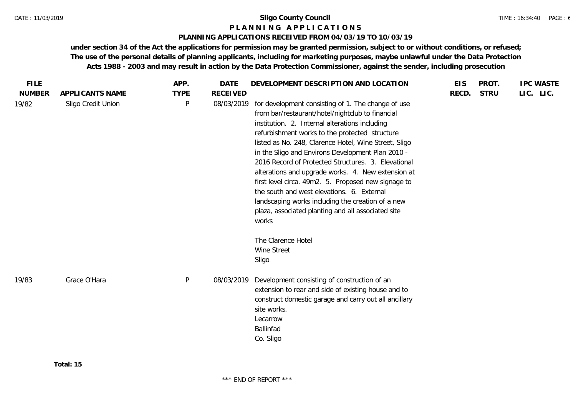### **P L A N N I N G A P P L I C A T I O N S**

#### **PLANNING APPLICATIONS RECEIVED FROM 04/03/19 TO 10/03/19**

| <b>FILE</b>   |                    | APP.         | <b>DATE</b>     | DEVELOPMENT DESCRIPTION AND LOCATION                                                                                                                                                                                                                                                                                                                                                                                                                                                                                                                                                                                                                           | <b>EIS</b> | PROT.       | <b>IPC WASTE</b> |
|---------------|--------------------|--------------|-----------------|----------------------------------------------------------------------------------------------------------------------------------------------------------------------------------------------------------------------------------------------------------------------------------------------------------------------------------------------------------------------------------------------------------------------------------------------------------------------------------------------------------------------------------------------------------------------------------------------------------------------------------------------------------------|------------|-------------|------------------|
| <b>NUMBER</b> | APPLICANTS NAME    | <b>TYPE</b>  | <b>RECEIVED</b> |                                                                                                                                                                                                                                                                                                                                                                                                                                                                                                                                                                                                                                                                | RECD.      | <b>STRU</b> | LIC. LIC.        |
| 19/82         | Sligo Credit Union | $\mathsf{P}$ | 08/03/2019      | for development consisting of 1. The change of use<br>from bar/restaurant/hotel/nightclub to financial<br>institution. 2. Internal alterations including<br>refurbishment works to the protected structure<br>listed as No. 248, Clarence Hotel, Wine Street, Sligo<br>in the Sligo and Environs Development Plan 2010 -<br>2016 Record of Protected Structures. 3. Elevational<br>alterations and upgrade works. 4. New extension at<br>first level circa. 49m2. 5. Proposed new signage to<br>the south and west elevations. 6. External<br>landscaping works including the creation of a new<br>plaza, associated planting and all associated site<br>works |            |             |                  |
|               |                    |              |                 | The Clarence Hotel<br>Wine Street<br>Sligo                                                                                                                                                                                                                                                                                                                                                                                                                                                                                                                                                                                                                     |            |             |                  |
| 19/83         | Grace O'Hara       | $\sf P$      | 08/03/2019      | Development consisting of construction of an<br>extension to rear and side of existing house and to<br>construct domestic garage and carry out all ancillary<br>site works.<br>Lecarrow<br>Ballinfad<br>Co. Sligo                                                                                                                                                                                                                                                                                                                                                                                                                                              |            |             |                  |
|               |                    |              |                 |                                                                                                                                                                                                                                                                                                                                                                                                                                                                                                                                                                                                                                                                |            |             |                  |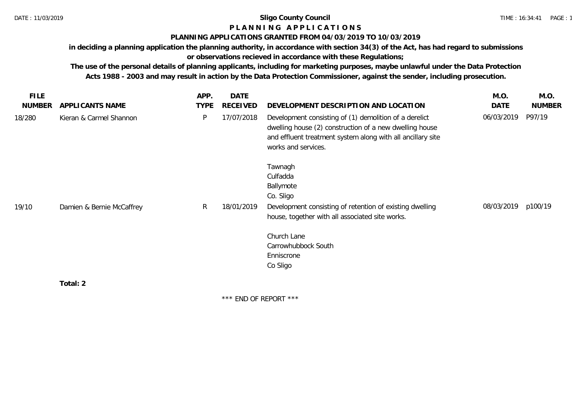# **P L A N N I N G A P P L I C A T I O N S**

### **PLANNING APPLICATIONS GRANTED FROM 04/03/2019 TO 10/03/2019**

**in deciding a planning application the planning authority, in accordance with section 34(3) of the Act, has had regard to submissions** 

**or observations recieved in accordance with these Regulations;**

**The use of the personal details of planning applicants, including for marketing purposes, maybe unlawful under the Data Protection Acts 1988 - 2003 and may result in action by the Data Protection Commissioner, against the sender, including prosecution.**

| <b>FILE</b>   |                           | APP.        | <b>DATE</b> |                                                                                                                                                                                                         | M.O.       | M.O.          |
|---------------|---------------------------|-------------|-------------|---------------------------------------------------------------------------------------------------------------------------------------------------------------------------------------------------------|------------|---------------|
| <b>NUMBER</b> | APPLICANTS NAME           | <b>TYPE</b> | RECEIVED    | DEVELOPMENT DESCRIPTION AND LOCATION                                                                                                                                                                    | DATE       | <b>NUMBER</b> |
| 18/280        | Kieran & Carmel Shannon   | P           | 17/07/2018  | Development consisting of (1) demolition of a derelict<br>dwelling house (2) construction of a new dwelling house<br>and effluent treatment system along with all ancillary site<br>works and services. | 06/03/2019 | P97/19        |
| 19/10         | Damien & Bernie McCaffrey | R           | 18/01/2019  | Tawnagh<br>Culfadda<br>Ballymote<br>Co. Sligo<br>Development consisting of retention of existing dwelling                                                                                               | 08/03/2019 | p100/19       |
|               |                           |             |             | house, together with all associated site works.<br>Church Lane<br>Carrowhubbock South<br>Enniscrone<br>Co Sligo                                                                                         |            |               |
|               | Total: 2                  |             |             |                                                                                                                                                                                                         |            |               |

\*\*\* END OF REPORT \*\*\*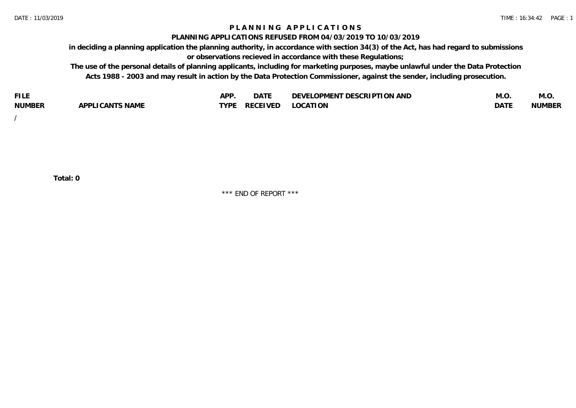### **P L A N N I N G A P P L I C A T I O N S**

#### **PLANNING APPLICATIONS REFUSED FROM 04/03/2019 TO 10/03/2019**

**in deciding a planning application the planning authority, in accordance with section 34(3) of the Act, has had regard to submissions or observations recieved in accordance with these Regulations;**

**The use of the personal details of planning applicants, including for marketing purposes, maybe unlawful under the Data Protection Acts 1988 - 2003 and may result in action by the Data Protection Commissioner, against the sender, including prosecution.**

| <b>FILE</b>   |                            | <b>ADD</b><br>¬ เ⊥ | $\Gamma$ $\Lambda$ $\Gamma$<br>DAI | OPMENT DESCRIPTION AND<br>$\sim$ $\sim$<br>)FVF' | IVI.U            | M.O           |
|---------------|----------------------------|--------------------|------------------------------------|--------------------------------------------------|------------------|---------------|
| <b>NUMBER</b> | <b>ICANTS NAME</b><br>APP' | <b>TYPF</b>        | <b>RECEIVED</b>                    | <b>LOCATION</b>                                  | DAT <sup>®</sup> | <b>NUMBEF</b> |

/

**Total: 0**

\*\*\* END OF REPORT \*\*\*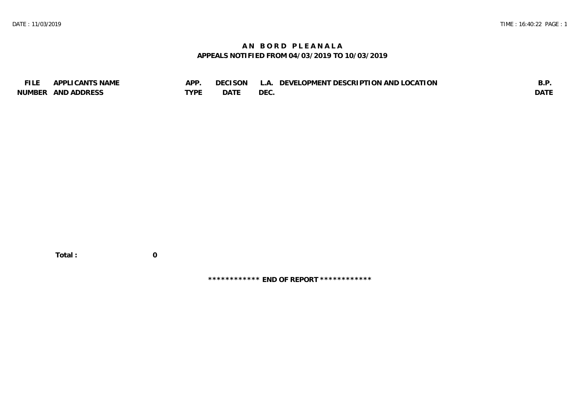# **A N B O R D P L E A N A L A APPEALS NOTIFIED FROM 04/03/2019 TO 10/03/2019**

| <b>FILE</b> | APPLICANTS NAME    | APP  | DECISON L   | L.A. DEVELOPMENT DESCRIPTION AND LOCATION | B.F         |
|-------------|--------------------|------|-------------|-------------------------------------------|-------------|
|             | NUMBER AND ADDRESS | TYPE | <b>DATE</b> | <b>DEC</b>                                | <b>DATE</b> |

 **Total : 0**

**\*\*\*\*\*\*\*\*\*\*\*\* END OF REPORT \*\*\*\*\*\*\*\*\*\*\*\***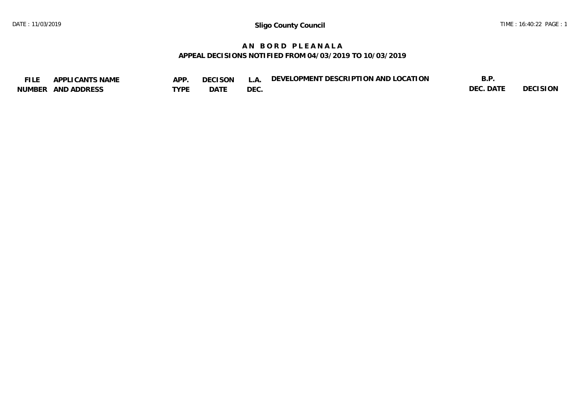# **A N B O R D P L E A N A L A APPEAL DECISIONS NOTIFIED FROM 04/03/2019 TO 10/03/2019**

| <b>FILE</b> | <b>ICANTS NAME</b><br>APF | APP. | <b>DECISON</b> |     | DEVELOPMENT DESCRIPTION AND LOCATION | D<br>ᇰ.   |                 |
|-------------|---------------------------|------|----------------|-----|--------------------------------------|-----------|-----------------|
| NUMBER      | AND ADDRESS               | TYPE | DATI           | DEC |                                      | DEC. DATF | <b>DECISION</b> |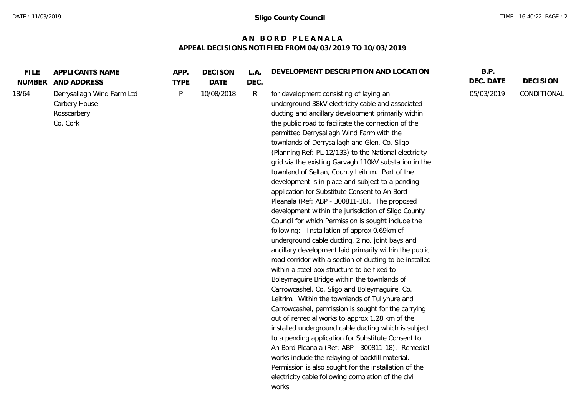# **A N B O R D P L E A N A L A APPEAL DECISIONS NOTIFIED FROM 04/03/2019 TO 10/03/2019**

| <b>FILE</b><br>NUMBER | APPLICANTS NAME<br>AND ADDRESS                                         | APP.<br><b>TYPE</b> | <b>DECISON</b><br><b>DATE</b> | L.A.<br>DEC. | DEVELOPMENT DESCRIPTION AND LOCATION                                                                                                                                                                                                                                                                                                                                                                                                                                                                                                                                                                                                                                                                                                                                                                                                                                                                                                                                                                                                                                                                                                                                                                                                                                                                                                                                                                                                                                                                                                                                                                                             | B.P.<br>DEC. DATE | <b>DECISION</b> |
|-----------------------|------------------------------------------------------------------------|---------------------|-------------------------------|--------------|----------------------------------------------------------------------------------------------------------------------------------------------------------------------------------------------------------------------------------------------------------------------------------------------------------------------------------------------------------------------------------------------------------------------------------------------------------------------------------------------------------------------------------------------------------------------------------------------------------------------------------------------------------------------------------------------------------------------------------------------------------------------------------------------------------------------------------------------------------------------------------------------------------------------------------------------------------------------------------------------------------------------------------------------------------------------------------------------------------------------------------------------------------------------------------------------------------------------------------------------------------------------------------------------------------------------------------------------------------------------------------------------------------------------------------------------------------------------------------------------------------------------------------------------------------------------------------------------------------------------------------|-------------------|-----------------|
| 18/64                 | Derrysallagh Wind Farm Ltd<br>Carbery House<br>Rosscarbery<br>Co. Cork | P                   | 10/08/2018                    | R            | for development consisting of laying an<br>underground 38kV electricity cable and associated<br>ducting and ancillary development primarily within<br>the public road to facilitate the connection of the<br>permitted Derrysallagh Wind Farm with the<br>townlands of Derrysallagh and Glen, Co. Sligo<br>(Planning Ref: PL 12/133) to the National electricity<br>grid via the existing Garvagh 110kV substation in the<br>townland of Seltan, County Leitrim. Part of the<br>development is in place and subject to a pending<br>application for Substitute Consent to An Bord<br>Pleanala (Ref: ABP - 300811-18). The proposed<br>development within the jurisdiction of Sligo County<br>Council for which Permission is sought include the<br>following: Installation of approx 0.69km of<br>underground cable ducting, 2 no. joint bays and<br>ancillary development laid primarily within the public<br>road corridor with a section of ducting to be installed<br>within a steel box structure to be fixed to<br>Boleymaguire Bridge within the townlands of<br>Carrowcashel, Co. Sligo and Boleymaguire, Co.<br>Leitrim. Within the townlands of Tullynure and<br>Carrowcashel, permission is sought for the carrying<br>out of remedial works to approx 1.28 km of the<br>installed underground cable ducting which is subject<br>to a pending application for Substitute Consent to<br>An Bord Pleanala (Ref: ABP - 300811-18). Remedial<br>works include the relaying of backfill material.<br>Permission is also sought for the installation of the<br>electricity cable following completion of the civil<br>works | 05/03/2019        | CONDITIONAL     |